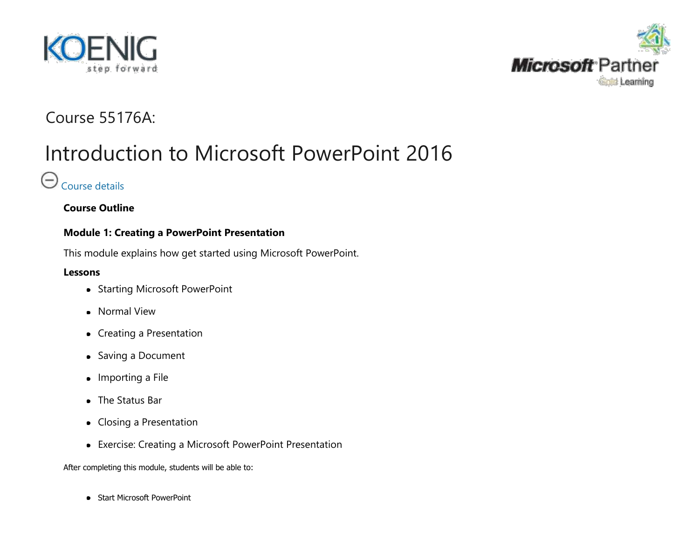<span id="page-0-0"></span>



# Course 55176A:

# Introduction to Microsoft PowerPoint 2016

# $\Theta$  [Course details](#page-0-0)

**Course Outline**

# **Module 1: Creating a PowerPoint Presentation**

This module explains how get started using Microsoft PowerPoint.

# **Lessons**

- Starting Microsoft PowerPoint
- Normal View
- Creating a Presentation
- Saving a Document
- Importing a File
- The Status Bar
- Closing a Presentation
- Exercise: Creating a Microsoft PowerPoint Presentation

After completing this module, students will be able to:

• Start Microsoft PowerPoint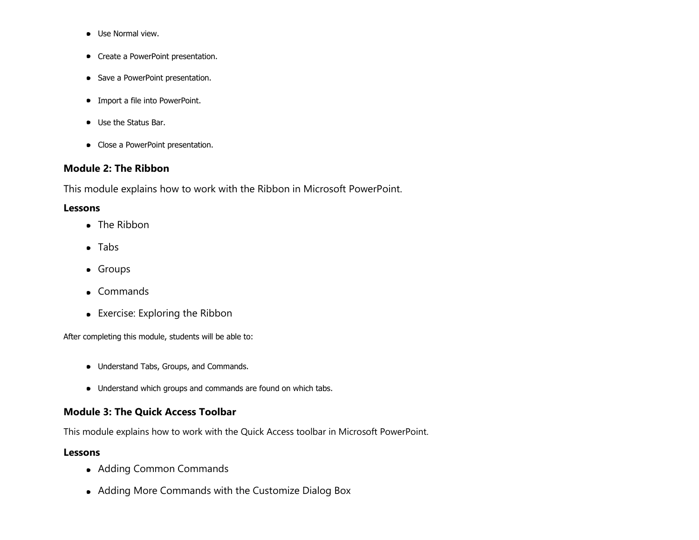- **•** Use Normal view.
- Create a PowerPoint presentation.
- Save a PowerPoint presentation.
- Import a file into PowerPoint.
- Use the Status Bar.
- Close a PowerPoint presentation.

# **Module 2: The Ribbon**

This module explains how to work with the Ribbon in Microsoft PowerPoint.

#### **Lessons**

- The Ribbon
- Tabs
- **•** Groups
- Commands
- Exercise: Exploring the Ribbon

After completing this module, students will be able to:

- Understand Tabs, Groups, and Commands.
- Understand which groups and commands are found on which tabs.

# **Module 3: The Quick Access Toolbar**

This module explains how to work with the Quick Access toolbar in Microsoft PowerPoint.

#### **Lessons**

- Adding Common Commands
- Adding More Commands with the Customize Dialog Box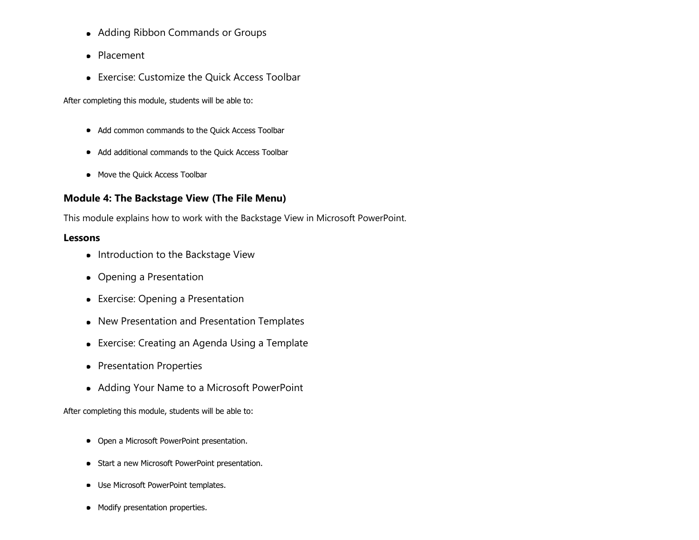- Adding Ribbon Commands or Groups
- Placement
- Exercise: Customize the Quick Access Toolbar

After completing this module, students will be able to:

- Add common commands to the Quick Access Toolbar
- Add additional commands to the Quick Access Toolbar
- Move the Quick Access Toolbar

# **Module 4: The Backstage View (The File Menu)**

This module explains how to work with the Backstage View in Microsoft PowerPoint.

### **Lessons**

- Introduction to the Backstage View
- Opening a Presentation
- Exercise: Opening a Presentation
- New Presentation and Presentation Templates
- Exercise: Creating an Agenda Using a Template
- Presentation Properties
- Adding Your Name to a Microsoft PowerPoint

- Open a Microsoft PowerPoint presentation.
- Start a new Microsoft PowerPoint presentation.
- Use Microsoft PowerPoint templates.
- Modify presentation properties.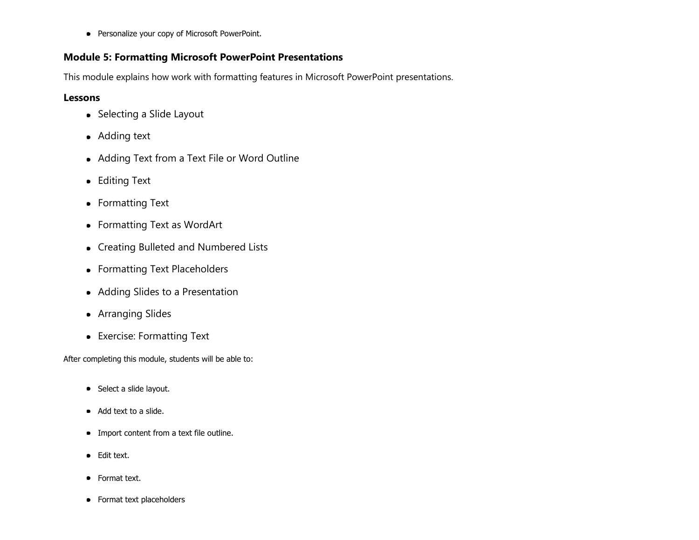**•** Personalize your copy of Microsoft PowerPoint.

### **Module 5: Formatting Microsoft PowerPoint Presentations**

This module explains how work with formatting features in Microsoft PowerPoint presentations.

## **Lessons**

- Selecting a Slide Layout
- Adding text
- Adding Text from a Text File or Word Outline
- **•** Editing Text
- Formatting Text
- Formatting Text as WordArt
- Creating Bulleted and Numbered Lists
- Formatting Text Placeholders
- Adding Slides to a Presentation
- **•** Arranging Slides
- Exercise: Formatting Text

- Select a slide layout.
- Add text to a slide.
- Import content from a text file outline.
- Edit text.
- Format text.
- Format text placeholders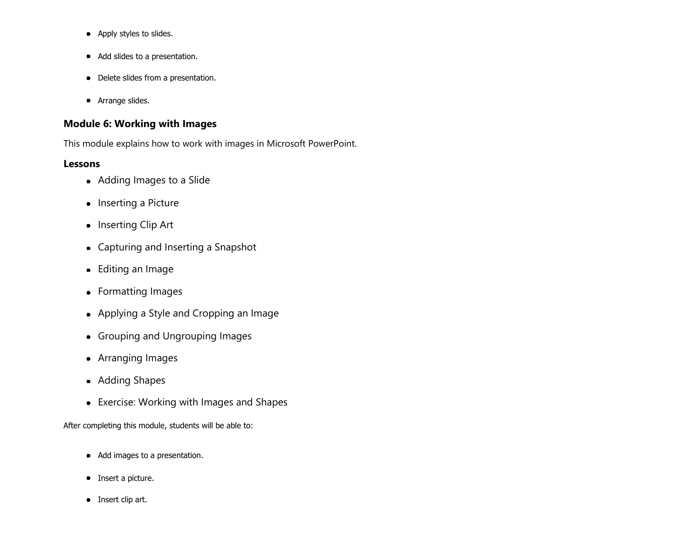- Apply styles to slides.
- Add slides to a presentation.
- Delete slides from a presentation.
- **•** Arrange slides.

# **Module 6: Working with Images**

This module explains how to work with images in Microsoft PowerPoint.

### **Lessons**

- Adding Images to a Slide
- Inserting a Picture
- Inserting Clip Art
- Capturing and Inserting a Snapshot
- Editing an Image
- Formatting Images
- Applying a Style and Cropping an Image
- Grouping and Ungrouping Images
- Arranging Images
- Adding Shapes
- Exercise: Working with Images and Shapes

- Add images to a presentation.
- Insert a picture.
- Insert clip art.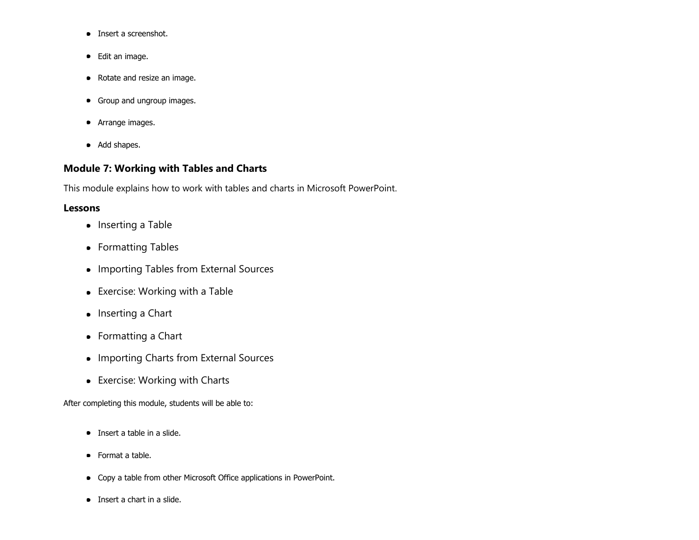- Insert a screenshot.
- Edit an image.
- Rotate and resize an image.
- Group and ungroup images.
- **•** Arrange images.
- Add shapes.

# **Module 7: Working with Tables and Charts**

This module explains how to work with tables and charts in Microsoft PowerPoint.

# **Lessons**

- Inserting a Table
- Formatting Tables
- Importing Tables from External Sources
- Exercise: Working with a Table
- Inserting a Chart
- Formatting a Chart
- Importing Charts from External Sources
- Exercise: Working with Charts

- Insert a table in a slide.
- Format a table.
- Copy a table from other Microsoft Office applications in PowerPoint.
- Insert a chart in a slide.